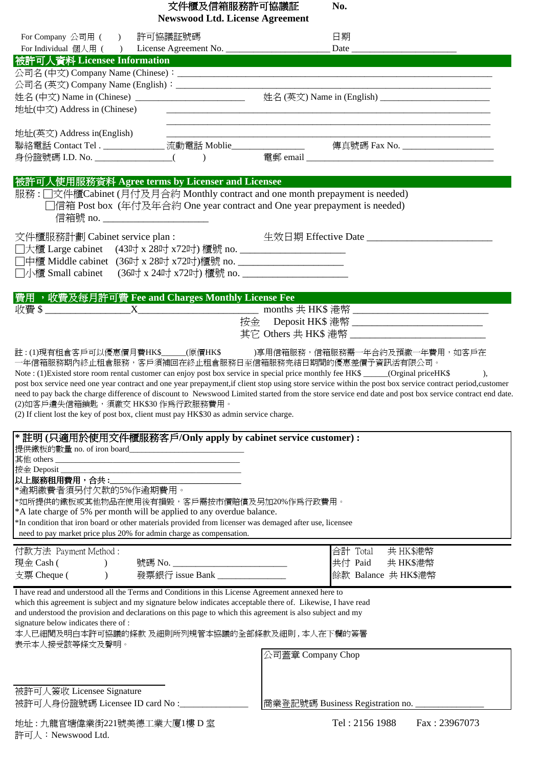| 文件櫃及信箱服務許可協議証<br>No.<br><b>Newswood Ltd. License Agreement</b>                                                                                                                                                                                                                                                                                                                                                                                                                                         |                                                                                                                     |                   |                                                                                                                                                                                                                                                                                                                                                                                                           |
|--------------------------------------------------------------------------------------------------------------------------------------------------------------------------------------------------------------------------------------------------------------------------------------------------------------------------------------------------------------------------------------------------------------------------------------------------------------------------------------------------------|---------------------------------------------------------------------------------------------------------------------|-------------------|-----------------------------------------------------------------------------------------------------------------------------------------------------------------------------------------------------------------------------------------------------------------------------------------------------------------------------------------------------------------------------------------------------------|
| For Company 公司用 ( ) 許可協議証號碼                                                                                                                                                                                                                                                                                                                                                                                                                                                                            |                                                                                                                     |                   | 日期                                                                                                                                                                                                                                                                                                                                                                                                        |
| 被許可人資料 Licensee Information The Contractor of the Contractor<br>地址(中文) Address in (Chinese)                                                                                                                                                                                                                                                                                                                                                                                                            |                                                                                                                     |                   | 姓名(中文) Name in (Chinese) __________________________________ 姓名(英文) Name in (English) _____________________                                                                                                                                                                                                                                                                                                |
| 地址(英文) Address in(English)                                                                                                                                                                                                                                                                                                                                                                                                                                                                             |                                                                                                                     |                   | 聯絡電話 Contact Tel . _______________ 流動電話 Moblie________________   傳真號碼 Fax No. _____________________                                                                                                                                                                                                                                                                                                       |
| 被許可人使用服務資料 Agree terms by Licenser and Licensee<br>服務: 门文件櫃Cabinet (月付及月合約 Monthly contract and one month prepayment is needed)<br>□信箱 Post box (年付及年合約 One year contract and One year prepayment is needed)<br>信箱號 no. __________________________                                                                                                                                                                                                                                                     |                                                                                                                     |                   |                                                                                                                                                                                                                                                                                                                                                                                                           |
| 文件櫃服務計劃 Cabinet service plan :                                                                                                                                                                                                                                                                                                                                                                                                                                                                         |                                                                                                                     |                   | 生效日期 Effective Date ______________________                                                                                                                                                                                                                                                                                                                                                                |
| 費用, 收費及每月許可費 Fee and Charges Monthly License Fee                                                                                                                                                                                                                                                                                                                                                                                                                                                       |                                                                                                                     |                   | 按金 Deposit HK\$ 港幣 ______________________________<br>其它 Others 共 HK\$ 港幣 ____________________                                                                                                                                                                                                                                                                                                             |
| 一年信箱服務期內終止租倉服務,客戶須補回在終止租倉服務日至信箱服務完結日期間的優惠差價予資訊活有限公司。<br>Note : (1) Existed store room rental customer can enjoy post box service in special price monthly fee HK\$ _____(Orginal priceHK\$<br>(2)如客戶遺失信箱鎖匙,須繳交 HK\$30作為行政服務費用。<br>(2) If client lost the key of post box, client must pay HK\$30 as admin service charge.                                                                                                                                                                              |                                                                                                                     |                   | 註 : (1)現有租倉客戶可以優惠價月費HK\$_____(原價HK\$    )享用信箱服務,信箱服務需一年合約及預繳一年費用,如客戶在<br>$\lambda$<br>post box service need one year contract and one year prepayment, if client stop using store service within the post box service contract period, customer<br>need to pay back the charge difference of discount to Newswood Limited started from the store service end date and post box service contract end date. |
| * 註明 (只適用於使用文件櫃服務客戶/Only apply by cabinet service customer) :<br>提供鐵板的數量 no. of iron board__________________________________<br>按金 Deposit _________<br>以上服務租用費用,合共:<br>*逾期繳費者須另付欠款的5%作逾期費用。<br>*如所提供的鐵板或其他物品在使用後有損毀,客戶需按市價賠償及另加20%作為行政費用。<br>*A late charge of 5% per month will be applied to any overdue balance.<br>*In condition that iron board or other materials provided from licenser was demaged after use, licensee<br>need to pay market price plus 20% for admin charge as compensation. | <u> 1989 - Johann Barn, mars ann an t-Amhain an t-Amhain an t-Amhain an t-Amhain an t-Amhain an t-Amhain an t-A</u> |                   |                                                                                                                                                                                                                                                                                                                                                                                                           |
| 付款方法 Payment Method:<br>現金 Cash (<br>支票 Cheque (                                                                                                                                                                                                                                                                                                                                                                                                                                                       | 發票銀行 issue Bank _______________                                                                                     |                   | 合計 Total<br>共 HK\$港幣<br>共付 Paid<br>共 HK\$港幣<br>餘款 Balance 共 HK\$港幣                                                                                                                                                                                                                                                                                                                                        |
| I have read and understood all the Terms and Conditions in this License Agreement annexed here to<br>which this agreement is subject and my signature below indicates acceptable there of. Likewise, I have read<br>and understood the provision and declarations on this page to which this agreement is also subject and my<br>signature below indicates there of :<br>本人已細閱及明白本許可協議的條款 及細則所列規管本協議的全部條款及細則,本人在下欄的簽署<br>表示本人接受該等條文及聲明。                                                                |                                                                                                                     | 公司蓋章 Company Chop |                                                                                                                                                                                                                                                                                                                                                                                                           |
| 被許可人簽收 Licensee Signature<br>被許可人身份證號碼 Licensee ID card No :_____________                                                                                                                                                                                                                                                                                                                                                                                                                              |                                                                                                                     |                   | 商業登記號碼 Business Registration no.<br>Tel: 2156 1988<br>Fax: 23967073                                                                                                                                                                                                                                                                                                                                       |
| 地址:九龍官塘偉業街221號美德工業大廈1樓 D室<br>許可人: Newswood Ltd.                                                                                                                                                                                                                                                                                                                                                                                                                                                        |                                                                                                                     |                   |                                                                                                                                                                                                                                                                                                                                                                                                           |